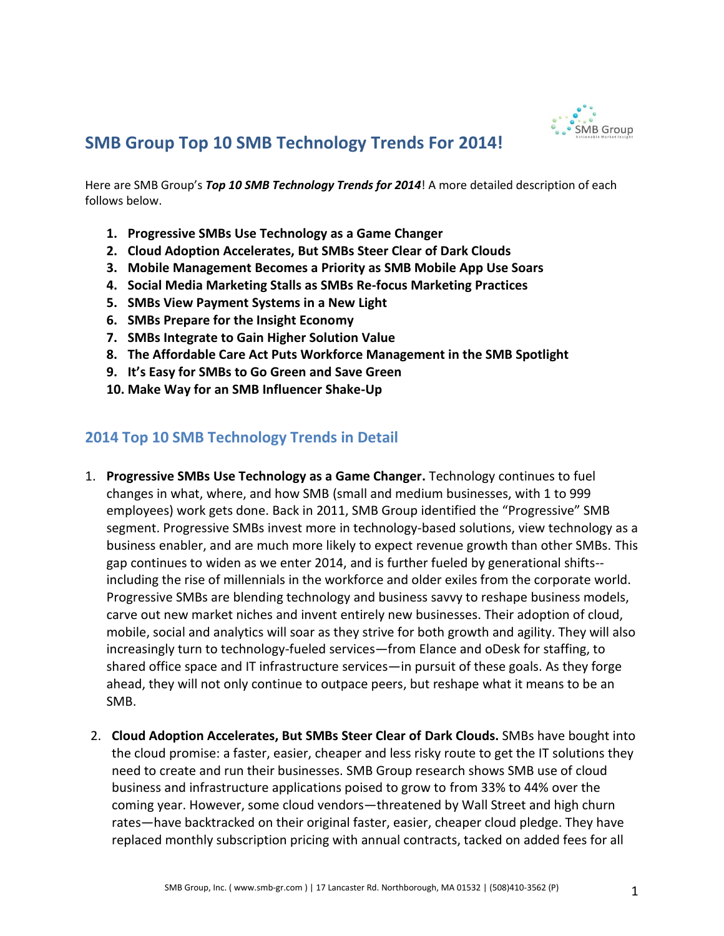

## **SMB Group Top 10 SMB Technology Trends For 2014!**

Here are SMB Group's *Top 10 SMB Technology Trends for 2014*! A more detailed description of each follows below.

- **1. Progressive SMBs Use Technology as a Game Changer**
- **2. Cloud Adoption Accelerates, But SMBs Steer Clear of Dark Clouds**
- **3. Mobile Management Becomes a Priority as SMB Mobile App Use Soars**
- **4. Social Media Marketing Stalls as SMBs Re-focus Marketing Practices**
- **5. SMBs View Payment Systems in a New Light**
- **6. SMBs Prepare for the Insight Economy**
- **7. SMBs Integrate to Gain Higher Solution Value**
- **8. The Affordable Care Act Puts Workforce Management in the SMB Spotlight**
- **9. It's Easy for SMBs to Go Green and Save Green**
- **10. Make Way for an SMB Influencer Shake-Up**

## **2014 Top 10 SMB Technology Trends in Detail**

- 1. **Progressive SMBs Use Technology as a Game Changer.** Technology continues to fuel changes in what, where, and how SMB (small and medium businesses, with 1 to 999 employees) work gets done. Back in 2011, SMB Group identified the "Progressive" SMB segment. Progressive SMBs invest more in technology-based solutions, view technology as a business enabler, and are much more likely to expect revenue growth than other SMBs. This gap continues to widen as we enter 2014, and is further fueled by generational shifts- including the rise of millennials in the workforce and older exiles from the corporate world. Progressive SMBs are blending technology and business savvy to reshape business models, carve out new market niches and invent entirely new businesses. Their adoption of cloud, mobile, social and analytics will soar as they strive for both growth and agility. They will also increasingly turn to technology-fueled services—from Elance and oDesk for staffing, to shared office space and IT infrastructure services—in pursuit of these goals. As they forge ahead, they will not only continue to outpace peers, but reshape what it means to be an SMB.
- 2. **Cloud Adoption Accelerates, But SMBs Steer Clear of Dark Clouds.** SMBs have bought into the cloud promise: a faster, easier, cheaper and less risky route to get the IT solutions they need to create and run their businesses. SMB Group research shows SMB use of cloud business and infrastructure applications poised to grow to from 33% to 44% over the coming year. However, some cloud vendors—threatened by Wall Street and high churn rates—have backtracked on their original faster, easier, cheaper cloud pledge. They have replaced monthly subscription pricing with annual contracts, tacked on added fees for all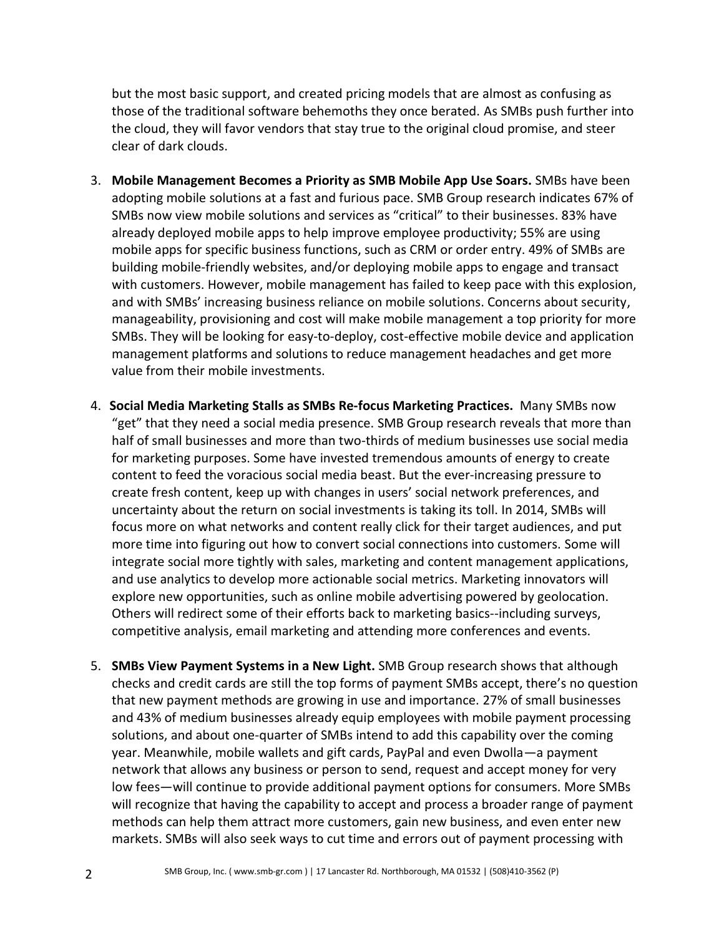but the most basic support, and created pricing models that are almost as confusing as those of the traditional software behemoths they once berated. As SMBs push further into the cloud, they will favor vendors that stay true to the original cloud promise, and steer clear of dark clouds.

- 3. **Mobile Management Becomes a Priority as SMB Mobile App Use Soars.** SMBs have been adopting mobile solutions at a fast and furious pace. SMB Group research indicates 67% of SMBs now view mobile solutions and services as "critical" to their businesses. 83% have already deployed mobile apps to help improve employee productivity; 55% are using mobile apps for specific business functions, such as CRM or order entry. 49% of SMBs are building mobile-friendly websites, and/or deploying mobile apps to engage and transact with customers. However, mobile management has failed to keep pace with this explosion, and with SMBs' increasing business reliance on mobile solutions. Concerns about security, manageability, provisioning and cost will make mobile management a top priority for more SMBs. They will be looking for easy-to-deploy, cost-effective mobile device and application management platforms and solutions to reduce management headaches and get more value from their mobile investments.
- 4. **Social Media Marketing Stalls as SMBs Re-focus Marketing Practices.** Many SMBs now "get" that they need a social media presence. SMB Group research reveals that more than half of small businesses and more than two-thirds of medium businesses use social media for marketing purposes. Some have invested tremendous amounts of energy to create content to feed the voracious social media beast. But the ever-increasing pressure to create fresh content, keep up with changes in users' social network preferences, and uncertainty about the return on social investments is taking its toll. In 2014, SMBs will focus more on what networks and content really click for their target audiences, and put more time into figuring out how to convert social connections into customers. Some will integrate social more tightly with sales, marketing and content management applications, and use analytics to develop more actionable social metrics. Marketing innovators will explore new opportunities, such as online mobile advertising powered by geolocation. Others will redirect some of their efforts back to marketing basics--including surveys, competitive analysis, email marketing and attending more conferences and events.
- 5. **SMBs View Payment Systems in a New Light.** SMB Group research shows that although checks and credit cards are still the top forms of payment SMBs accept, there's no question that new payment methods are growing in use and importance. 27% of small businesses and 43% of medium businesses already equip employees with mobile payment processing solutions, and about one-quarter of SMBs intend to add this capability over the coming year. Meanwhile, mobile wallets and gift cards, PayPal and even Dwolla—a payment network that allows any business or person to send, request and accept money for very low fees—will continue to provide additional payment options for consumers. More SMBs will recognize that having the capability to accept and process a broader range of payment methods can help them attract more customers, gain new business, and even enter new markets. SMBs will also seek ways to cut time and errors out of payment processing with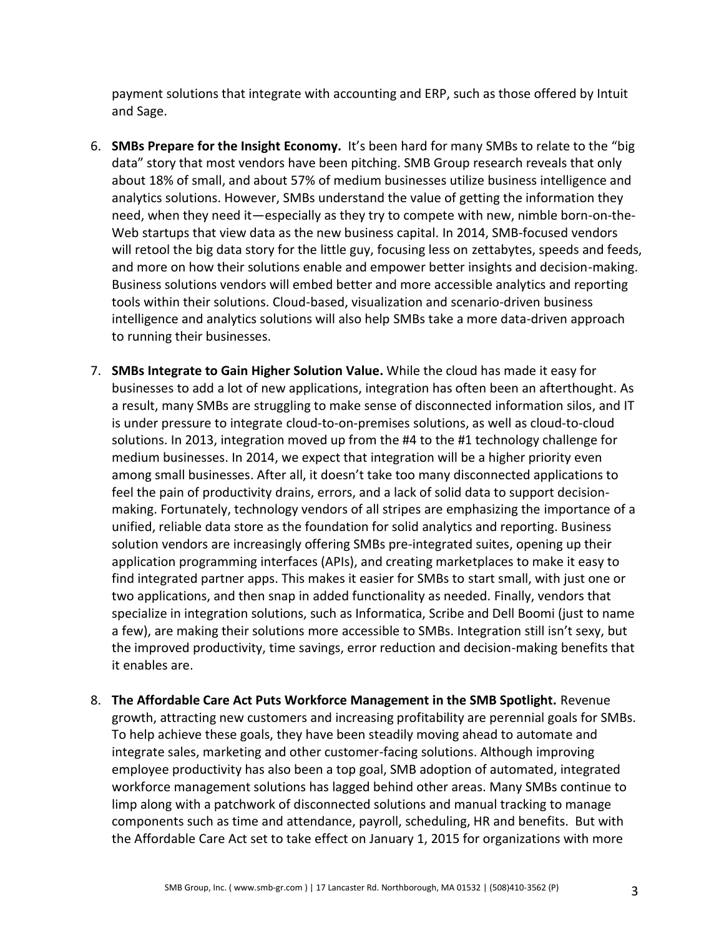payment solutions that integrate with accounting and ERP, such as those offered by Intuit and Sage.

- 6. **SMBs Prepare for the Insight Economy.** It's been hard for many SMBs to relate to the "big data" story that most vendors have been pitching. SMB Group research reveals that only about 18% of small, and about 57% of medium businesses utilize business intelligence and analytics solutions. However, SMBs understand the value of getting the information they need, when they need it—especially as they try to compete with new, nimble born-on-the-Web startups that view data as the new business capital. In 2014, SMB-focused vendors will retool the big data story for the little guy, focusing less on zettabytes, speeds and feeds, and more on how their solutions enable and empower better insights and decision-making. Business solutions vendors will embed better and more accessible analytics and reporting tools within their solutions. Cloud-based, visualization and scenario-driven business intelligence and analytics solutions will also help SMBs take a more data-driven approach to running their businesses.
- 7. **SMBs Integrate to Gain Higher Solution Value.** While the cloud has made it easy for businesses to add a lot of new applications, integration has often been an afterthought. As a result, many SMBs are struggling to make sense of disconnected information silos, and IT is under pressure to integrate cloud-to-on-premises solutions, as well as cloud-to-cloud solutions. In 2013, integration moved up from the #4 to the #1 technology challenge for medium businesses. In 2014, we expect that integration will be a higher priority even among small businesses. After all, it doesn't take too many disconnected applications to feel the pain of productivity drains, errors, and a lack of solid data to support decisionmaking. Fortunately, technology vendors of all stripes are emphasizing the importance of a unified, reliable data store as the foundation for solid analytics and reporting. Business solution vendors are increasingly offering SMBs pre-integrated suites, opening up their application programming interfaces (APIs), and creating marketplaces to make it easy to find integrated partner apps. This makes it easier for SMBs to start small, with just one or two applications, and then snap in added functionality as needed. Finally, vendors that specialize in integration solutions, such as Informatica, Scribe and Dell Boomi (just to name a few), are making their solutions more accessible to SMBs. Integration still isn't sexy, but the improved productivity, time savings, error reduction and decision-making benefits that it enables are.
- 8. **The Affordable Care Act Puts Workforce Management in the SMB Spotlight.** Revenue growth, attracting new customers and increasing profitability are perennial goals for SMBs. To help achieve these goals, they have been steadily moving ahead to automate and integrate sales, marketing and other customer-facing solutions. Although improving employee productivity has also been a top goal, SMB adoption of automated, integrated workforce management solutions has lagged behind other areas. Many SMBs continue to limp along with a patchwork of disconnected solutions and manual tracking to manage components such as time and attendance, payroll, scheduling, HR and benefits. But with the Affordable Care Act set to take effect on January 1, 2015 for organizations with more